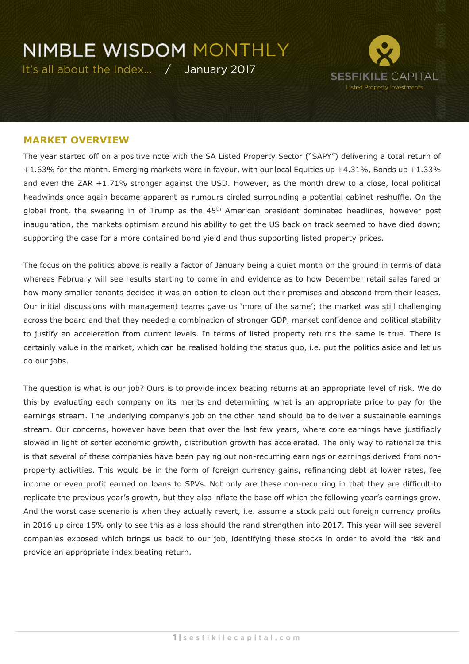It's all about the Index… / January 2017



#### **MARKET OVERVIEW**

The year started off on a positive note with the SA Listed Property Sector ("SAPY") delivering a total return of +1.63% for the month. Emerging markets were in favour, with our local Equities up +4.31%, Bonds up +1.33% and even the ZAR +1.71% stronger against the USD. However, as the month drew to a close, local political headwinds once again became apparent as rumours circled surrounding a potential cabinet reshuffle. On the global front, the swearing in of Trump as the  $45<sup>th</sup>$  American president dominated headlines, however post inauguration, the markets optimism around his ability to get the US back on track seemed to have died down; supporting the case for a more contained bond yield and thus supporting listed property prices.

The focus on the politics above is really a factor of January being a quiet month on the ground in terms of data whereas February will see results starting to come in and evidence as to how December retail sales fared or how many smaller tenants decided it was an option to clean out their premises and abscond from their leases. Our initial discussions with management teams gave us 'more of the same'; the market was still challenging across the board and that they needed a combination of stronger GDP, market confidence and political stability to justify an acceleration from current levels. In terms of listed property returns the same is true. There is certainly value in the market, which can be realised holding the status quo, i.e. put the politics aside and let us do our jobs.

The question is what is our job? Ours is to provide index beating returns at an appropriate level of risk. We do this by evaluating each company on its merits and determining what is an appropriate price to pay for the earnings stream. The underlying company's job on the other hand should be to deliver a sustainable earnings stream. Our concerns, however have been that over the last few years, where core earnings have justifiably slowed in light of softer economic growth, distribution growth has accelerated. The only way to rationalize this is that several of these companies have been paying out non-recurring earnings or earnings derived from nonproperty activities. This would be in the form of foreign currency gains, refinancing debt at lower rates, fee income or even profit earned on loans to SPVs. Not only are these non-recurring in that they are difficult to replicate the previous year's growth, but they also inflate the base off which the following year's earnings grow. And the worst case scenario is when they actually revert, i.e. assume a stock paid out foreign currency profits in 2016 up circa 15% only to see this as a loss should the rand strengthen into 2017. This year will see several companies exposed which brings us back to our job, identifying these stocks in order to avoid the risk and provide an appropriate index beating return.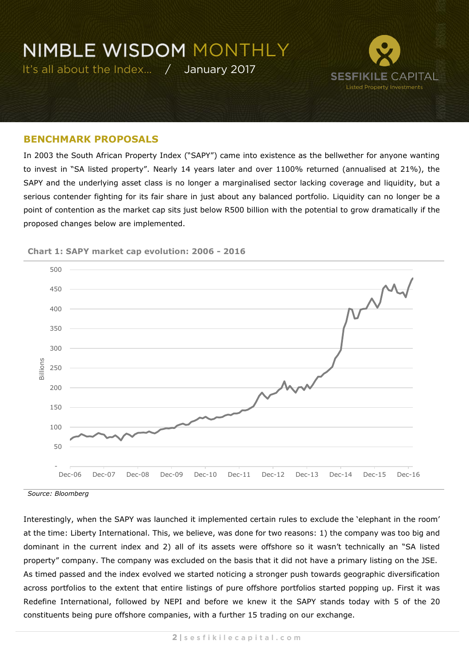

#### **BENCHMARK PROPOSALS**

In 2003 the South African Property Index ("SAPY") came into existence as the bellwether for anyone wanting to invest in "SA listed property". Nearly 14 years later and over 1100% returned (annualised at 21%), the SAPY and the underlying asset class is no longer a marginalised sector lacking coverage and liquidity, but a serious contender fighting for its fair share in just about any balanced portfolio. Liquidity can no longer be a point of contention as the market cap sits just below R500 billion with the potential to grow dramatically if the proposed changes below are implemented.



**Chart 1: SAPY market cap evolution: 2006 - 2016**

*Source: Bloomberg*

Interestingly, when the SAPY was launched it implemented certain rules to exclude the 'elephant in the room' at the time: Liberty International. This, we believe, was done for two reasons: 1) the company was too big and dominant in the current index and 2) all of its assets were offshore so it wasn't technically an "SA listed property" company. The company was excluded on the basis that it did not have a primary listing on the JSE. As timed passed and the index evolved we started noticing a stronger push towards geographic diversification across portfolios to the extent that entire listings of pure offshore portfolios started popping up. First it was Redefine International, followed by NEPI and before we knew it the SAPY stands today with 5 of the 20 constituents being pure offshore companies, with a further 15 trading on our exchange.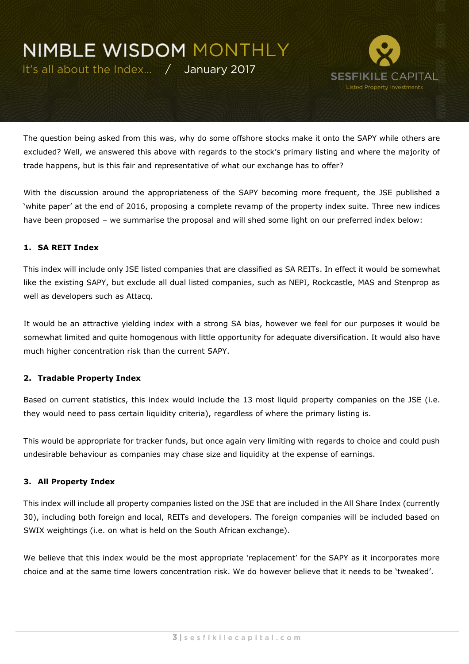It's all about the Index… / January 2017



The question being asked from this was, why do some offshore stocks make it onto the SAPY while others are excluded? Well, we answered this above with regards to the stock's primary listing and where the majority of trade happens, but is this fair and representative of what our exchange has to offer?

With the discussion around the appropriateness of the SAPY becoming more frequent, the JSE published a 'white paper' at the end of 2016, proposing a complete revamp of the property index suite. Three new indices have been proposed – we summarise the proposal and will shed some light on our preferred index below:

#### **1. SA REIT Index**

This index will include only JSE listed companies that are classified as SA REITs. In effect it would be somewhat like the existing SAPY, but exclude all dual listed companies, such as NEPI, Rockcastle, MAS and Stenprop as well as developers such as Attacq.

It would be an attractive yielding index with a strong SA bias, however we feel for our purposes it would be somewhat limited and quite homogenous with little opportunity for adequate diversification. It would also have much higher concentration risk than the current SAPY.

#### **2. Tradable Property Index**

Based on current statistics, this index would include the 13 most liquid property companies on the JSE (i.e. they would need to pass certain liquidity criteria), regardless of where the primary listing is.

This would be appropriate for tracker funds, but once again very limiting with regards to choice and could push undesirable behaviour as companies may chase size and liquidity at the expense of earnings.

#### **3. All Property Index**

This index will include all property companies listed on the JSE that are included in the All Share Index (currently 30), including both foreign and local, REITs and developers. The foreign companies will be included based on SWIX weightings (i.e. on what is held on the South African exchange).

We believe that this index would be the most appropriate 'replacement' for the SAPY as it incorporates more choice and at the same time lowers concentration risk. We do however believe that it needs to be 'tweaked'.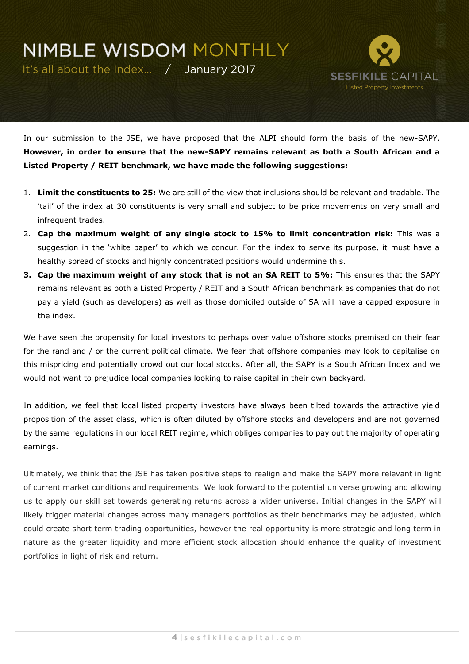It's all about the Index… / January 2017



In our submission to the JSE, we have proposed that the ALPI should form the basis of the new-SAPY. **However, in order to ensure that the new-SAPY remains relevant as both a South African and a Listed Property / REIT benchmark, we have made the following suggestions:**

- 1. **Limit the constituents to 25:** We are still of the view that inclusions should be relevant and tradable. The 'tail' of the index at 30 constituents is very small and subject to be price movements on very small and infrequent trades.
- 2. **Cap the maximum weight of any single stock to 15% to limit concentration risk:** This was a suggestion in the 'white paper' to which we concur. For the index to serve its purpose, it must have a healthy spread of stocks and highly concentrated positions would undermine this.
- **3. Cap the maximum weight of any stock that is not an SA REIT to 5%:** This ensures that the SAPY remains relevant as both a Listed Property / REIT and a South African benchmark as companies that do not pay a yield (such as developers) as well as those domiciled outside of SA will have a capped exposure in the index.

We have seen the propensity for local investors to perhaps over value offshore stocks premised on their fear for the rand and / or the current political climate. We fear that offshore companies may look to capitalise on this mispricing and potentially crowd out our local stocks. After all, the SAPY is a South African Index and we would not want to prejudice local companies looking to raise capital in their own backyard.

In addition, we feel that local listed property investors have always been tilted towards the attractive yield proposition of the asset class, which is often diluted by offshore stocks and developers and are not governed by the same regulations in our local REIT regime, which obliges companies to pay out the majority of operating earnings.

Ultimately, we think that the JSE has taken positive steps to realign and make the SAPY more relevant in light of current market conditions and requirements. We look forward to the potential universe growing and allowing us to apply our skill set towards generating returns across a wider universe. Initial changes in the SAPY will likely trigger material changes across many managers portfolios as their benchmarks may be adjusted, which could create short term trading opportunities, however the real opportunity is more strategic and long term in nature as the greater liquidity and more efficient stock allocation should enhance the quality of investment portfolios in light of risk and return.